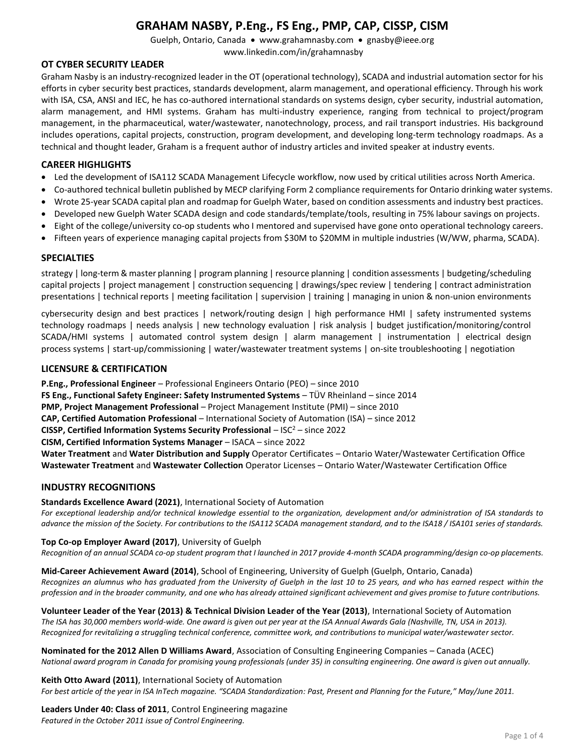Guelph, Ontario, Canada • www.grahamnasby.com • gnasby@ieee.org www.linkedin.com/in/grahamnasby

## **OT CYBER SECURITY LEADER**

Graham Nasby is an industry-recognized leader in the OT (operational technology), SCADA and industrial automation sector for his efforts in cyber security best practices, standards development, alarm management, and operational efficiency. Through his work with ISA, CSA, ANSI and IEC, he has co-authored international standards on systems design, cyber security, industrial automation, alarm management, and HMI systems. Graham has multi-industry experience, ranging from technical to project/program management, in the pharmaceutical, water/wastewater, nanotechnology, process, and rail transport industries. His background includes operations, capital projects, construction, program development, and developing long-term technology roadmaps. As a technical and thought leader, Graham is a frequent author of industry articles and invited speaker at industry events.

## **CAREER HIGHLIGHTS**

- Led the development of ISA112 SCADA Management Lifecycle workflow, now used by critical utilities across North America.
- Co-authored technical bulletin published by MECP clarifying Form 2 compliance requirements for Ontario drinking water systems.
- Wrote 25-year SCADA capital plan and roadmap for Guelph Water, based on condition assessments and industry best practices.
- Developed new Guelph Water SCADA design and code standards/template/tools, resulting in 75% labour savings on projects.
- Eight of the college/university co-op students who I mentored and supervised have gone onto operational technology careers.
- Fifteen years of experience managing capital projects from \$30M to \$20MM in multiple industries (W/WW, pharma, SCADA).

#### **SPECIALTIES**

strategy | long-term & master planning | program planning | resource planning | condition assessments | budgeting/scheduling capital projects | project management | construction sequencing | drawings/spec review | tendering | contract administration presentations | technical reports | meeting facilitation | supervision | training | managing in union & non-union environments

cybersecurity design and best practices | network/routing design | high performance HMI | safety instrumented systems technology roadmaps | needs analysis | new technology evaluation | risk analysis | budget justification/monitoring/control SCADA/HMI systems | automated control system design | alarm management | instrumentation | electrical design process systems | start-up/commissioning | water/wastewater treatment systems | on-site troubleshooting | negotiation

#### **LICENSURE & CERTIFICATION**

**P.Eng., Professional Engineer** – Professional Engineers Ontario (PEO) – since 2010 **FS Eng., Functional Safety Engineer: Safety Instrumented Systems** – TÜV Rheinland – since 2014 **PMP, Project Management Professional** – Project Management Institute (PMI) – since 2010 **CAP, Certified Automation Professional** – International Society of Automation (ISA) – since 2012 **CISSP, Certified Information Systems Security Professional – ISC<sup>2</sup> – since 2022 CISM, Certified Information Systems Manager** – ISACA – since 2022 **Water Treatment** and **Water Distribution and Supply** Operator Certificates – Ontario Water/Wastewater Certification Office **Wastewater Treatment** and **Wastewater Collection** Operator Licenses – Ontario Water/Wastewater Certification Office

#### **INDUSTRY RECOGNITIONS**

**Standards Excellence Award (2021)**, International Society of Automation

*For exceptional leadership and/or technical knowledge essential to the organization, development and/or administration of ISA standards to advance the mission of the Society. For contributions to the ISA112 SCADA management standard, and to the ISA18 / ISA101 series of standards.*

#### **Top Co-op Employer Award (2017)**, University of Guelph

*Recognition of an annual SCADA co-op student program that I launched in 2017 provide 4-month SCADA programming/design co-op placements.*

**Mid-Career Achievement Award (2014)**, School of Engineering, University of Guelph (Guelph, Ontario, Canada) *Recognizes an alumnus who has graduated from the University of Guelph in the last 10 to 25 years, and who has earned respect within the profession and in the broader community, and one who has already attained significant achievement and gives promise to future contributions.*

**Volunteer Leader of the Year (2013) & Technical Division Leader of the Year (2013)**, International Society of Automation The ISA has 30,000 members world-wide. One award is given out per year at the ISA Annual Awards Gala (Nashville, TN, USA in 2013). *Recognized for revitalizing a struggling technical conference, committee work, and contributions to municipal water/wastewater sector.*

**Nominated for the 2012 Allen D Williams Award**, Association of Consulting Engineering Companies – Canada (ACEC) *National award program in Canada for promising young professionals (under 35) in consulting engineering. One award is given out annually.*

**Keith Otto Award (2011)**, International Society of Automation For best article of the year in ISA InTech magazine. "SCADA Standardization: Past, Present and Planning for the Future," May/June 2011.

**Leaders Under 40: Class of 2011**, Control Engineering magazine *Featured in the October 2011 issue of Control Engineering.*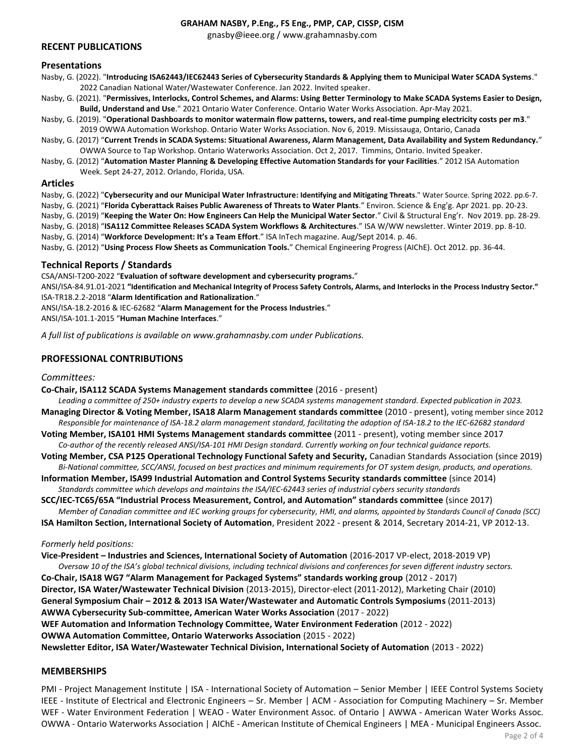gnasby@ieee.org / www.grahamnasby.com

#### **RECENT PUBLICATIONS**

#### **Presentations**

- Nasby, G. (2022). "**Introducing ISA62443/IEC62443 Series of Cybersecurity Standards & Applying them to Municipal Water SCADA Systems**." 2022 Canadian National Water/Wastewater Conference. Jan 2022. Invited speaker.
- Nasby, G. (2021). "**Permissives, Interlocks, Control Schemes, and Alarms: Using Better Terminology to Make SCADA Systems Easier to Design, Build, Understand and Use**." 2021 Ontario Water Conference. Ontario Water Works Association. Apr-May 2021.
- Nasby, G. (2019). "**Operational Dashboards to monitor watermain flow patterns, towers, and real-time pumping electricity costs per m3**." 2019 OWWA Automation Workshop. Ontario Water Works Association. Nov 6, 2019. Mississauga, Ontario, Canada
- Nasby, G. (2017) "**Current Trends in SCADA Systems: Situational Awareness, Alarm Management, Data Availability and System Redundancy.**" OWWA Source to Tap Workshop. Ontario Waterworks Association. Oct 2, 2017. Timmins, Ontario. Invited Speaker.
- Nasby, G. (2012) "**Automation Master Planning & Developing Effective Automation Standards for your Facilities**." 2012 ISA Automation Week. Sept 24-27, 2012. Orlando, Florida, USA.

#### **Articles**

- Nasby, G. (2022) "**Cybersecurity and our Municipal Water Infrastructure: Identifying and Mitigating Threats**." Water Source. Spring 2022. pp.6-7.
- Nasby, G. (2021) "**Florida Cyberattack Raises Public Awareness of Threats to Water Plants**." Environ. Science & Eng'g. Apr 2021. pp. 20-23.
- Nasby, G. (2019) "**Keeping the Water On: How Engineers Can Help the Municipal Water Sector**." Civil & Structural Eng'r. Nov 2019. pp. 28-29.
- Nasby, G. (2018) "**ISA112 Committee Releases SCADA System Workflows & Architectures**." ISA W/WW newsletter. Winter 2019. pp. 8-10.
- Nasby, G. (2014) "**Workforce Development: It's a Team Effort**." ISA InTech magazine. Aug/Sept 2014. p. 46.

Nasby, G. (2012) "**Using Process Flow Sheets as Communication Tools.**" Chemical Engineering Progress (AIChE). Oct 2012. pp. 36-44.

#### **Technical Reports / Standards**

CSA/ANSI-T200-2022 "**Evaluation of software development and cybersecurity programs.**"

ANSI/ISA-84.91.01-2021 **"Identification and Mechanical Integrity of Process Safety Controls, Alarms, and Interlocks in the Process Industry Sector."** ISA-TR18.2.2-2018 "**Alarm Identification and Rationalization**."

ANSI/ISA-18.2-2016 & IEC-62682 "**Alarm Management for the Process Industries**."

ANSI/ISA-101.1-2015 "**Human Machine Interfaces**."

*A full list of publications is available on www.grahamnasby.com under Publications.*

## **PROFESSIONAL CONTRIBUTIONS**

#### *Committees:*

**Co-Chair, ISA112 SCADA Systems Management standards committee** (2016 - present)

- *Leading a committee of 250+ industry experts to develop a new SCADA systems management standard. Expected publication in 2023.* **Managing Director & Voting Member, ISA18 Alarm Management standards committee** (2010 - present), voting member since 2012 *Responsible for maintenance of ISA-18.2 alarm management standard, facilitating the adoption of ISA-18.2 to the IEC-62682 standard*
- **Voting Member, ISA101 HMI Systems Management standards committee** (2011 present), voting member since 2017 *Co-author of the recently released ANSI/ISA-101 HMI Design standard. Currently working on four technical guidance reports.*
- **Voting Member, CSA P125 Operational Technology Functional Safety and Security,** Canadian Standards Association (since 2019) *Bi-National committee, SCC/ANSI, focused on best practices and minimum requirements for OT system design, products, and operations.*
- **Information Member, ISA99 Industrial Automation and Control Systems Security standards committee** (since 2014) *Standards committee which develops and maintains the ISA/IEC-62443 series of industrial cybers security standards*
- **SCC/IEC-TC65/65A "Industrial Process Measurement, Control, and Automation" standards committee** (since 2017) *Member of Canadian committee and IEC working groups for cybersecurity, HMI, and alarms, appointed by Standards Council of Canada (SCC)*
- **ISA Hamilton Section, International Society of Automation**, President 2022 present & 2014, Secretary 2014-21, VP 2012-13.

#### *Formerly held positions:*

**Vice-President – Industries and Sciences, International Society of Automation** (2016-2017 VP-elect, 2018-2019 VP) *Oversaw 10 of the ISA's global technical divisions, including technical divisions and conferences for seven different industry sectors.* **Co-Chair, ISA18 WG7 "Alarm Management for Packaged Systems" standards working group** (2012 - 2017) **Director, ISA Water/Wastewater Technical Division** (2013-2015), Director-elect (2011-2012), Marketing Chair (2010) **General Symposium Chair – 2012 & 2013 ISA Water/Wastewater and Automatic Controls Symposiums** (2011-2013) **AWWA Cybersecurity Sub-committee, American Water Works Association** (2017 - 2022) **WEF Automation and Information Technology Committee, Water Environment Federation** (2012 - 2022) **OWWA Automation Committee, Ontario Waterworks Association** (2015 - 2022) **Newsletter Editor, ISA Water/Wastewater Technical Division, International Society of Automation** (2013 - 2022)

#### **MEMBERSHIPS**

PMI - Project Management Institute | ISA - International Society of Automation – Senior Member | IEEE Control Systems Society IEEE - Institute of Electrical and Electronic Engineers – Sr. Member | ACM - Association for Computing Machinery – Sr. Member WEF - Water Environment Federation | WEAO - Water Environment Assoc. of Ontario | AWWA - American Water Works Assoc. OWWA - Ontario Waterworks Association | AIChE - American Institute of Chemical Engineers | MEA - Municipal Engineers Assoc.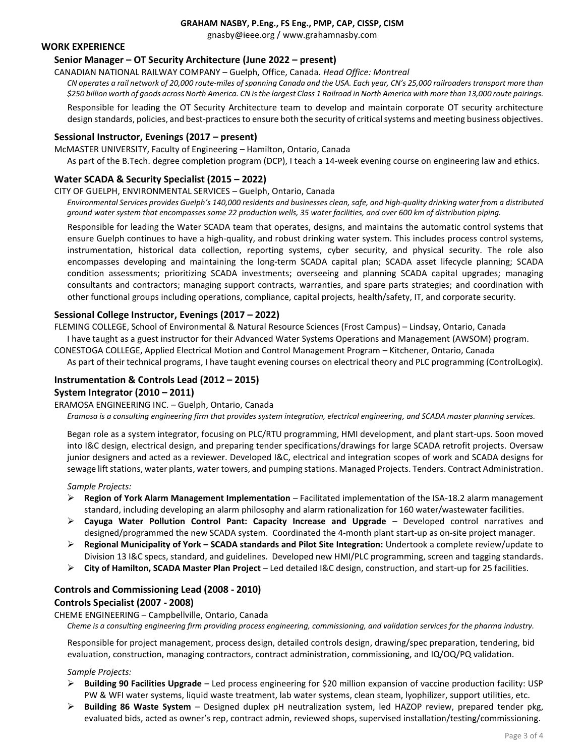gnasby@ieee.org / www.grahamnasby.com

## **WORK EXPERIENCE**

## **Senior Manager – OT Security Architecture (June 2022 – present)**

CANADIAN NATIONAL RAILWAY COMPANY – Guelph, Office, Canada. *Head Office: Montreal*

*CN operates a rail network of 20,000 route-miles of spanning Canada and the USA. Each year, CN's 25,000 railroaders transport more than \$250 billion worth of goods across North America. CN is the largest Class 1 Railroad in North America with more than 13,000 route pairings.*

Responsible for leading the OT Security Architecture team to develop and maintain corporate OT security architecture design standards, policies, and best-practices to ensure both the security of critical systems and meeting business objectives.

#### **Sessional Instructor, Evenings (2017 – present)**

McMASTER UNIVERSITY, Faculty of Engineering – Hamilton, Ontario, Canada

As part of the B.Tech. degree completion program (DCP), I teach a 14-week evening course on engineering law and ethics.

#### **Water SCADA & Security Specialist (2015 – 2022)**

#### CITY OF GUELPH, ENVIRONMENTAL SERVICES – Guelph, Ontario, Canada

*Environmental Services provides Guelph's 140,000 residents and businesses clean, safe, and high-quality drinking water from a distributed ground water system that encompasses some 22 production wells, 35 water facilities, and over 600 km of distribution piping.* 

Responsible for leading the Water SCADA team that operates, designs, and maintains the automatic control systems that ensure Guelph continues to have a high-quality, and robust drinking water system. This includes process control systems, instrumentation, historical data collection, reporting systems, cyber security, and physical security. The role also encompasses developing and maintaining the long-term SCADA capital plan; SCADA asset lifecycle planning; SCADA condition assessments; prioritizing SCADA investments; overseeing and planning SCADA capital upgrades; managing consultants and contractors; managing support contracts, warranties, and spare parts strategies; and coordination with other functional groups including operations, compliance, capital projects, health/safety, IT, and corporate security.

#### **Sessional College Instructor, Evenings (2017 – 2022)**

FLEMING COLLEGE, School of Environmental & Natural Resource Sciences (Frost Campus) – Lindsay, Ontario, Canada I have taught as a guest instructor for their Advanced Water Systems Operations and Management (AWSOM) program.

CONESTOGA COLLEGE, Applied Electrical Motion and Control Management Program – Kitchener, Ontario, Canada

As part of their technical programs, I have taught evening courses on electrical theory and PLC programming (ControlLogix).

## **Instrumentation & Controls Lead (2012 – 2015)**

#### **System Integrator (2010 – 2011)**

#### ERAMOSA ENGINEERING INC. – Guelph, Ontario, Canada

*Eramosa is a consulting engineering firm that provides system integration, electrical engineering, and SCADA master planning services.*

Began role as a system integrator, focusing on PLC/RTU programming, HMI development, and plant start-ups. Soon moved into I&C design, electrical design, and preparing tender specifications/drawings for large SCADA retrofit projects. Oversaw junior designers and acted as a reviewer. Developed I&C, electrical and integration scopes of work and SCADA designs for sewage lift stations, water plants, water towers, and pumping stations. Managed Projects. Tenders. Contract Administration.

#### *Sample Projects:*

- ➢ **Region of York Alarm Management Implementation** Facilitated implementation of the ISA-18.2 alarm management standard, including developing an alarm philosophy and alarm rationalization for 160 water/wastewater facilities.
- ➢ **Cayuga Water Pollution Control Pant: Capacity Increase and Upgrade** Developed control narratives and designed/programmed the new SCADA system. Coordinated the 4-month plant start-up as on-site project manager.
- ➢ **Regional Municipality of York – SCADA standards and Pilot Site Integration:** Undertook a complete review/update to Division 13 I&C specs, standard, and guidelines. Developed new HMI/PLC programming, screen and tagging standards.
- ➢ **City of Hamilton, SCADA Master Plan Project** Led detailed I&C design, construction, and start-up for 25 facilities.

## **Controls and Commissioning Lead (2008 - 2010) Controls Specialist (2007 - 2008)**

CHEME ENGINEERING – Campbellville, Ontario, Canada

*Cheme is a consulting engineering firm providing process engineering, commissioning, and validation services for the pharma industry.* 

Responsible for project management, process design, detailed controls design, drawing/spec preparation, tendering, bid evaluation, construction, managing contractors, contract administration, commissioning, and IQ/OQ/PQ validation.

#### *Sample Projects:*

- ➢ **Building 90 Facilities Upgrade**  Led process engineering for \$20 million expansion of vaccine production facility: USP PW & WFI water systems, liquid waste treatment, lab water systems, clean steam, lyophilizer, support utilities, etc.
- ➢ **Building 86 Waste System** Designed duplex pH neutralization system, led HAZOP review, prepared tender pkg, evaluated bids, acted as owner's rep, contract admin, reviewed shops, supervised installation/testing/commissioning.